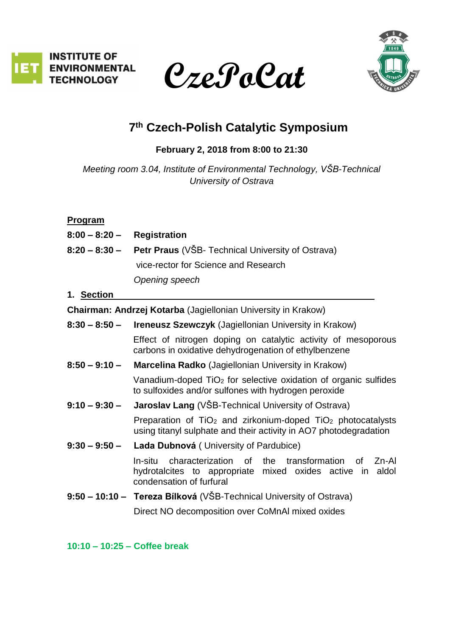





# **7 th Czech-Polish Catalytic Symposium**

**February 2, 2018 from 8:00 to 21:30** 

*Meeting room 3.04, Institute of Environmental Technology, VŠB-Technical University of Ostrava*

## **Program**

| $8:00 - 8:20 -$                                               | <b>Registration</b>                                                                                                                                                |
|---------------------------------------------------------------|--------------------------------------------------------------------------------------------------------------------------------------------------------------------|
| $8:20 - 8:30 -$                                               | <b>Petr Praus</b> (VŠB- Technical University of Ostrava)                                                                                                           |
|                                                               | vice-rector for Science and Research                                                                                                                               |
|                                                               | Opening speech                                                                                                                                                     |
| 1. Section                                                    |                                                                                                                                                                    |
| Chairman: Andrzej Kotarba (Jagiellonian University in Krakow) |                                                                                                                                                                    |
| $8:30 - 8:50 -$                                               | Ireneusz Szewczyk (Jagiellonian University in Krakow)                                                                                                              |
|                                                               | Effect of nitrogen doping on catalytic activity of mesoporous<br>carbons in oxidative dehydrogenation of ethylbenzene                                              |
| $8:50 - 9:10 -$                                               | <b>Marcelina Radko</b> (Jagiellonian University in Krakow)                                                                                                         |
|                                                               | Vanadium-doped $TiO2$ for selective oxidation of organic sulfides<br>to sulfoxides and/or sulfones with hydrogen peroxide                                          |
| $9:10 - 9:30 -$                                               | <b>Jaroslav Lang</b> (VŠB-Technical University of Ostrava)                                                                                                         |
|                                                               | Preparation of $TiO2$ and zirkonium-doped $TiO2$ photocatalysts<br>using titanyl sulphate and their activity in AO7 photodegradation                               |
| $9:30 - 9:50 -$                                               | Lada Dubnová (University of Pardubice)                                                                                                                             |
|                                                               | In-situ<br>characterization of<br>the<br>transformation<br>Zn-Al<br>οf<br>hydrotalcites to appropriate mixed oxides active in<br>aldol<br>condensation of furfural |
|                                                               | 9:50 – 10:10 – Tereza Bílková (VŠB-Technical University of Ostrava)                                                                                                |
|                                                               | Direct NO decomposition over CoMnAI mixed oxides                                                                                                                   |

**10:10 – 10:25 – Coffee break**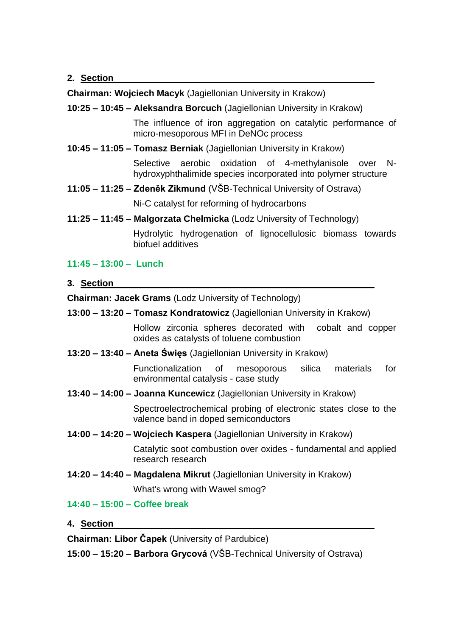#### **2. Section**

**Chairman: Wojciech Macyk** (Jagiellonian University in Krakow)

## **10:25 – 10:45 – Aleksandra Borcuch** (Jagiellonian University in Krakow)

The influence of iron aggregation on catalytic performance of micro-mesoporous MFI in DeNOc process

**10:45 – 11:05 – Tomasz Berniak** (Jagiellonian University in Krakow)

Selective aerobic oxidation of 4-methylanisole over Nhydroxyphthalimide species incorporated into polymer structure

**11:05 – 11:25 – Zdeněk Zikmund** (VŠB-Technical University of Ostrava)

Ni-C catalyst for reforming of hydrocarbons

**11:25 – 11:45 – Malgorzata Chelmicka** (Lodz University of Technology)

Hydrolytic hydrogenation of lignocellulosic biomass towards biofuel additives

#### **11:45 – 13:00 – Lunch**

**3. Section**

**Chairman: Jacek Grams** (Lodz University of Technology)

**13:00 – 13:20 – Tomasz Kondratowicz** (Jagiellonian University in Krakow)

Hollow zirconia spheres decorated with cobalt and copper oxides as catalysts of toluene combustion

**13:20 – 13:40 – Aneta Święs** (Jagiellonian University in Krakow)

Functionalization of mesoporous silica materials for environmental catalysis - case study

**13:40 – 14:00 – Joanna Kuncewicz** (Jagiellonian University in Krakow)

Spectroelectrochemical probing of electronic states close to the valence band in doped semiconductors

**14:00 – 14:20 – Wojciech Kaspera** (Jagiellonian University in Krakow)

Catalytic soot combustion over oxides - fundamental and applied research research

**14:20 – 14:40 – Magdalena Mikrut** (Jagiellonian University in Krakow)

What's wrong with Wawel smog?

# **14:40 – 15:00 – Coffee break**

**4. Section** 

**Chairman: Libor Čapek** (University of Pardubice)

**15:00 – 15:20 – Barbora Grycová** (VŠB-Technical University of Ostrava)